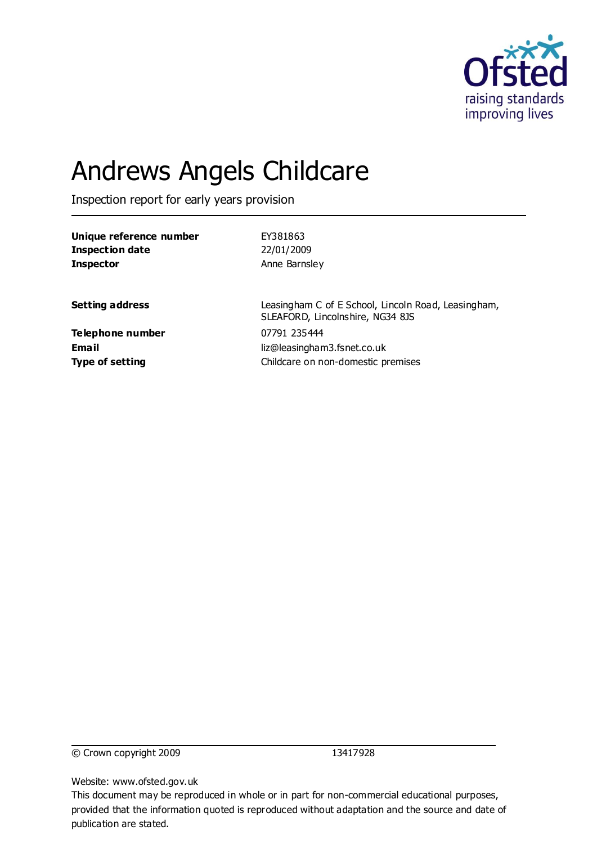

# Andrews Angels Childcare

Inspection report for early years provision

| EY381863                                                                                |
|-----------------------------------------------------------------------------------------|
| 22/01/2009                                                                              |
| Anne Barnsley                                                                           |
|                                                                                         |
| Leasingham C of E School, Lincoln Road, Leasingham,<br>SLEAFORD, Lincolnshire, NG34 8JS |
| 07791 235444                                                                            |
| liz@leasingham3.fsnet.co.uk                                                             |
| Childcare on non-domestic premises                                                      |
|                                                                                         |

© Crown copyright 2009 13417928

Website: www.ofsted.gov.uk

This document may be reproduced in whole or in part for non-commercial educational purposes, provided that the information quoted is reproduced without adaptation and the source and date of publication are stated.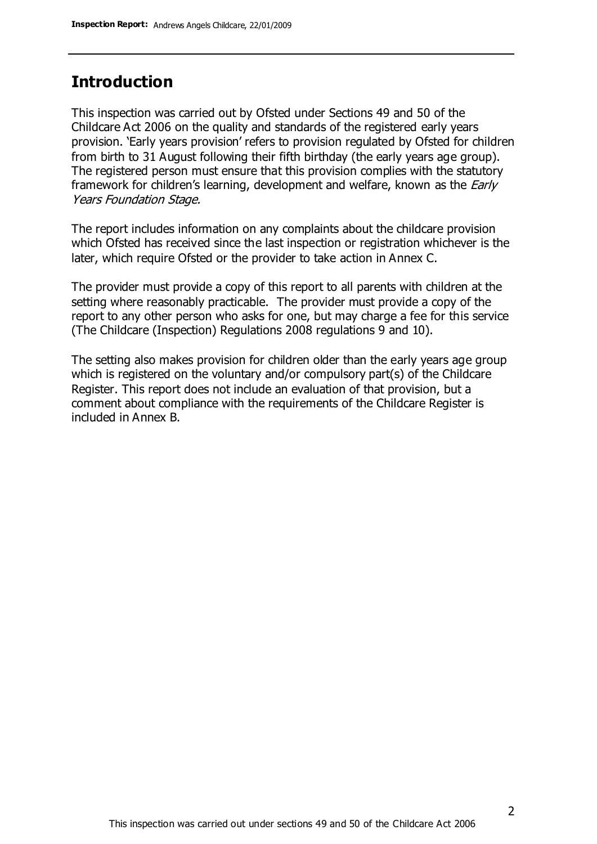### **Introduction**

This inspection was carried out by Ofsted under Sections 49 and 50 of the Childcare Act 2006 on the quality and standards of the registered early years provision. 'Early years provision' refers to provision regulated by Ofsted for children from birth to 31 August following their fifth birthday (the early years age group). The registered person must ensure that this provision complies with the statutory framework for children's learning, development and welfare, known as the *Early* Years Foundation Stage.

The report includes information on any complaints about the childcare provision which Ofsted has received since the last inspection or registration whichever is the later, which require Ofsted or the provider to take action in Annex C.

The provider must provide a copy of this report to all parents with children at the setting where reasonably practicable. The provider must provide a copy of the report to any other person who asks for one, but may charge a fee for this service (The Childcare (Inspection) Regulations 2008 regulations 9 and 10).

The setting also makes provision for children older than the early years age group which is registered on the voluntary and/or compulsory part(s) of the Childcare Register. This report does not include an evaluation of that provision, but a comment about compliance with the requirements of the Childcare Register is included in Annex B.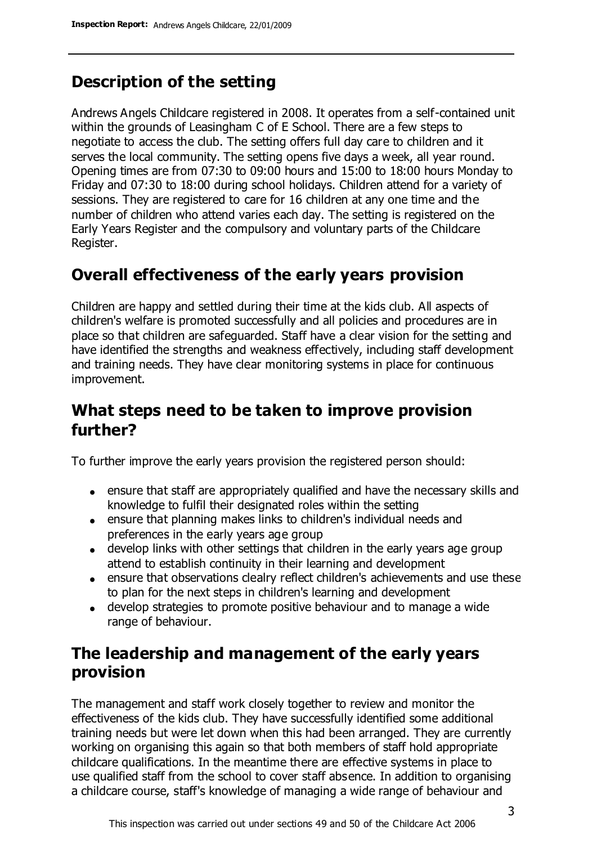## **Description of the setting**

Andrews Angels Childcare registered in 2008. It operates from a self-contained unit within the grounds of Leasingham C of E School. There are a few steps to negotiate to access the club. The setting offers full day care to children and it serves the local community. The setting opens five days a week, all year round. Opening times are from 07:30 to 09:00 hours and 15:00 to 18:00 hours Monday to Friday and 07:30 to 18:00 during school holidays. Children attend for a variety of sessions. They are registered to care for 16 children at any one time and the number of children who attend varies each day. The setting is registered on the Early Years Register and the compulsory and voluntary parts of the Childcare Register.

### **Overall effectiveness of the early years provision**

Children are happy and settled during their time at the kids club. All aspects of children's welfare is promoted successfully and all policies and procedures are in place so that children are safeguarded. Staff have a clear vision for the setting and have identified the strengths and weakness effectively, including staff development and training needs. They have clear monitoring systems in place for continuous improvement.

### **What steps need to be taken to improve provision further?**

To further improve the early years provision the registered person should:

- ensure that staff are appropriately qualified and have the necessary skills and knowledge to fulfil their designated roles within the setting
- ensure that planning makes links to children's individual needs and preferences in the early years age group
- develop links with other settings that children in the early years age group attend to establish continuity in their learning and development
- ensure that observations clealry reflect children's achievements and use these to plan for the next steps in children's learning and development
- develop strategies to promote positive behaviour and to manage a wide range of behaviour.

### **The leadership and management of the early years provision**

The management and staff work closely together to review and monitor the effectiveness of the kids club. They have successfully identified some additional training needs but were let down when this had been arranged. They are currently working on organising this again so that both members of staff hold appropriate childcare qualifications. In the meantime there are effective systems in place to use qualified staff from the school to cover staff absence. In addition to organising a childcare course, staff's knowledge of managing a wide range of behaviour and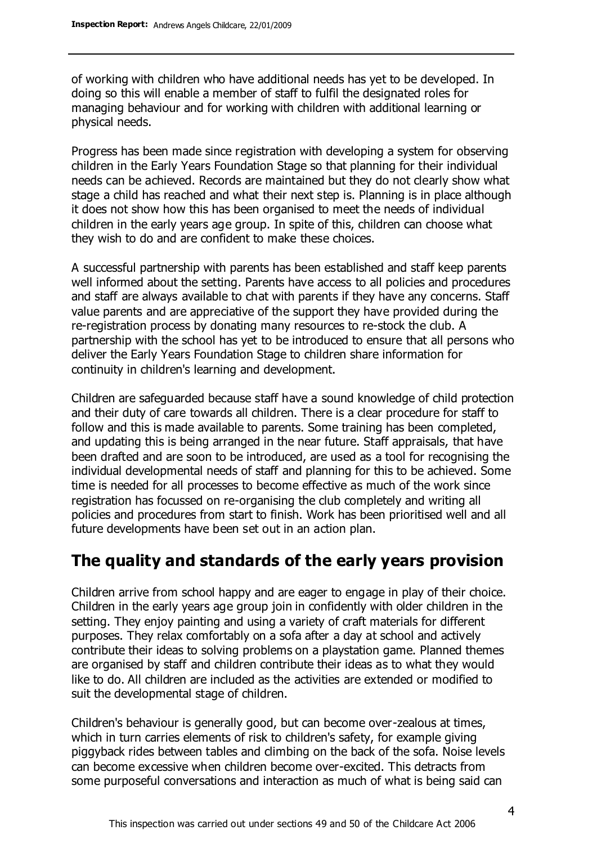of working with children who have additional needs has yet to be developed. In doing so this will enable a member of staff to fulfil the designated roles for managing behaviour and for working with children with additional learning or physical needs.

Progress has been made since registration with developing a system for observing children in the Early Years Foundation Stage so that planning for their individual needs can be achieved. Records are maintained but they do not clearly show what stage a child has reached and what their next step is. Planning is in place although it does not show how this has been organised to meet the needs of individual children in the early years age group. In spite of this, children can choose what they wish to do and are confident to make these choices.

A successful partnership with parents has been established and staff keep parents well informed about the setting. Parents have access to all policies and procedures and staff are always available to chat with parents if they have any concerns. Staff value parents and are appreciative of the support they have provided during the re-registration process by donating many resources to re-stock the club. A partnership with the school has yet to be introduced to ensure that all persons who deliver the Early Years Foundation Stage to children share information for continuity in children's learning and development.

Children are safeguarded because staff have a sound knowledge of child protection and their duty of care towards all children. There is a clear procedure for staff to follow and this is made available to parents. Some training has been completed, and updating this is being arranged in the near future. Staff appraisals, that have been drafted and are soon to be introduced, are used as a tool for recognising the individual developmental needs of staff and planning for this to be achieved. Some time is needed for all processes to become effective as much of the work since registration has focussed on re-organising the club completely and writing all policies and procedures from start to finish. Work has been prioritised well and all future developments have been set out in an action plan.

### **The quality and standards of the early years provision**

Children arrive from school happy and are eager to engage in play of their choice. Children in the early years age group join in confidently with older children in the setting. They enjoy painting and using a variety of craft materials for different purposes. They relax comfortably on a sofa after a day at school and actively contribute their ideas to solving problems on a playstation game. Planned themes are organised by staff and children contribute their ideas as to what they would like to do. All children are included as the activities are extended or modified to suit the developmental stage of children.

Children's behaviour is generally good, but can become over-zealous at times, which in turn carries elements of risk to children's safety, for example giving piggyback rides between tables and climbing on the back of the sofa. Noise levels can become excessive when children become over-excited. This detracts from some purposeful conversations and interaction as much of what is being said can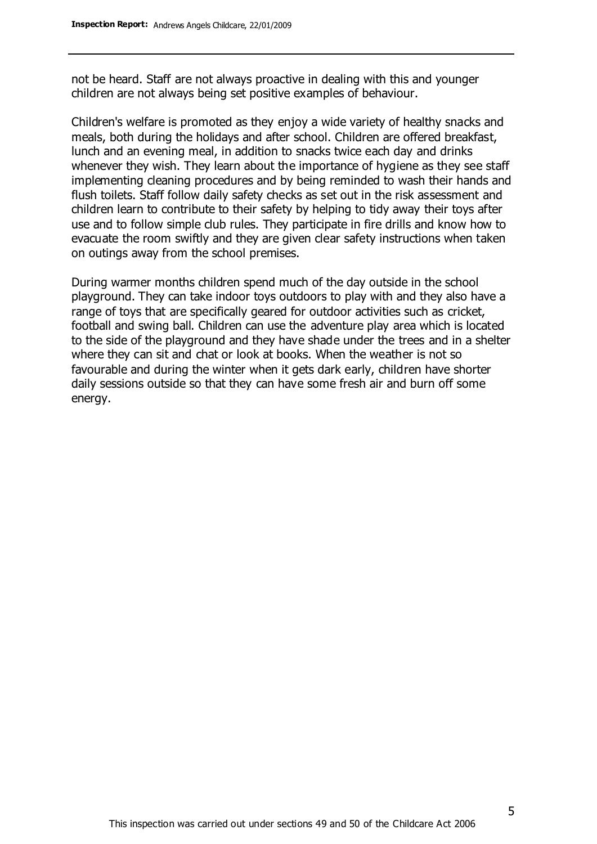not be heard. Staff are not always proactive in dealing with this and younger children are not always being set positive examples of behaviour.

Children's welfare is promoted as they enjoy a wide variety of healthy snacks and meals, both during the holidays and after school. Children are offered breakfast, lunch and an evening meal, in addition to snacks twice each day and drinks whenever they wish. They learn about the importance of hygiene as they see staff implementing cleaning procedures and by being reminded to wash their hands and flush toilets. Staff follow daily safety checks as set out in the risk assessment and children learn to contribute to their safety by helping to tidy away their toys after use and to follow simple club rules. They participate in fire drills and know how to evacuate the room swiftly and they are given clear safety instructions when taken on outings away from the school premises.

During warmer months children spend much of the day outside in the school playground. They can take indoor toys outdoors to play with and they also have a range of toys that are specifically geared for outdoor activities such as cricket, football and swing ball. Children can use the adventure play area which is located to the side of the playground and they have shade under the trees and in a shelter where they can sit and chat or look at books. When the weather is not so favourable and during the winter when it gets dark early, children have shorter daily sessions outside so that they can have some fresh air and burn off some energy.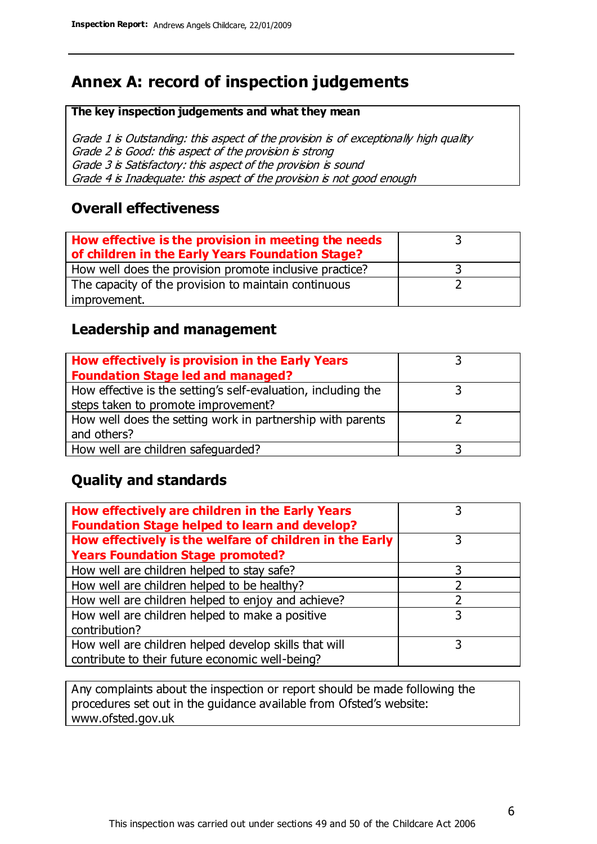# **Annex A: record of inspection judgements**

#### **The key inspection judgements and what they mean**

Grade 1 is Outstanding: this aspect of the provision is of exceptionally high quality Grade 2 is Good: this aspect of the provision is strong Grade 3 is Satisfactory: this aspect of the provision is sound Grade 4 is Inadequate: this aspect of the provision is not good enough

### **Overall effectiveness**

| How effective is the provision in meeting the needs<br>of children in the Early Years Foundation Stage? |  |
|---------------------------------------------------------------------------------------------------------|--|
| How well does the provision promote inclusive practice?                                                 |  |
| The capacity of the provision to maintain continuous                                                    |  |
| improvement.                                                                                            |  |

### **Leadership and management**

| How effectively is provision in the Early Years               |  |
|---------------------------------------------------------------|--|
| <b>Foundation Stage led and managed?</b>                      |  |
| How effective is the setting's self-evaluation, including the |  |
| steps taken to promote improvement?                           |  |
| How well does the setting work in partnership with parents    |  |
| and others?                                                   |  |
| How well are children safequarded?                            |  |

### **Quality and standards**

| How effectively are children in the Early Years<br><b>Foundation Stage helped to learn and develop?</b> |   |
|---------------------------------------------------------------------------------------------------------|---|
| How effectively is the welfare of children in the Early                                                 | 3 |
| <b>Years Foundation Stage promoted?</b>                                                                 |   |
| How well are children helped to stay safe?                                                              |   |
| How well are children helped to be healthy?                                                             |   |
| How well are children helped to enjoy and achieve?                                                      | 2 |
| How well are children helped to make a positive                                                         | 3 |
| contribution?                                                                                           |   |
| How well are children helped develop skills that will                                                   |   |
| contribute to their future economic well-being?                                                         |   |

Any complaints about the inspection or report should be made following the procedures set out in the guidance available from Ofsted's website: www.ofsted.gov.uk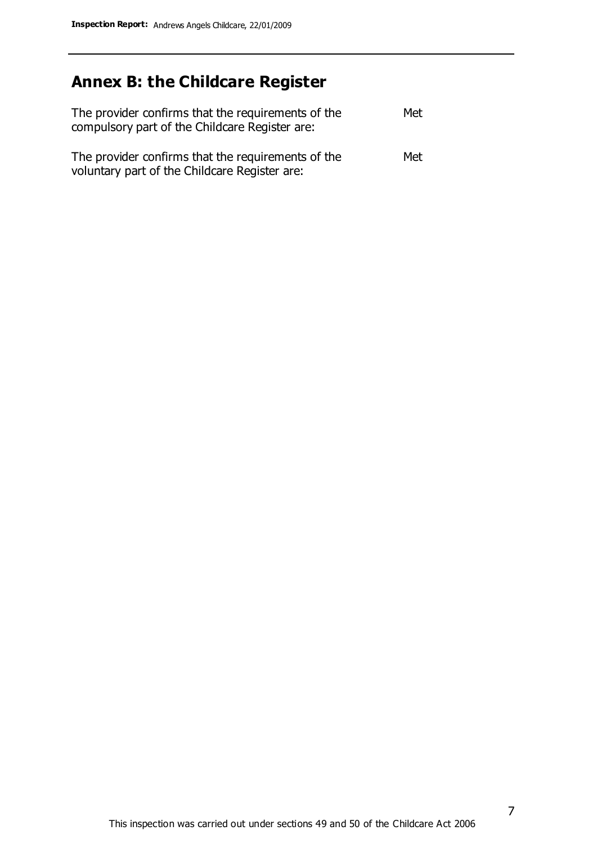# **Annex B: the Childcare Register**

| The provider confirms that the requirements of the<br>compulsory part of the Childcare Register are: | Met |
|------------------------------------------------------------------------------------------------------|-----|
| The provider confirms that the requirements of the<br>voluntary part of the Childcare Register are:  | Met |